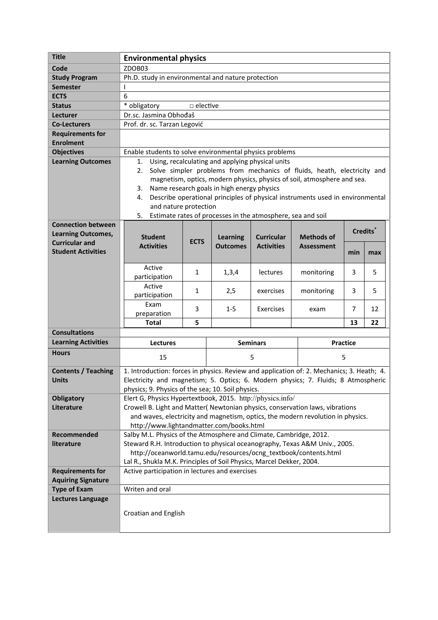| <b>Title</b>                                    | <b>Environmental physics</b>                                                                                                             |             |                                    |                                        |                                        |     |          |  |
|-------------------------------------------------|------------------------------------------------------------------------------------------------------------------------------------------|-------------|------------------------------------|----------------------------------------|----------------------------------------|-----|----------|--|
| Code                                            | ZDOB03                                                                                                                                   |             |                                    |                                        |                                        |     |          |  |
| <b>Study Program</b>                            | Ph.D. study in environmental and nature protection                                                                                       |             |                                    |                                        |                                        |     |          |  |
| <b>Semester</b>                                 |                                                                                                                                          |             |                                    |                                        |                                        |     |          |  |
| <b>ECTS</b>                                     | 6                                                                                                                                        |             |                                    |                                        |                                        |     |          |  |
| <b>Status</b>                                   | * obligatory<br>$\Box$ elective                                                                                                          |             |                                    |                                        |                                        |     |          |  |
| Lecturer                                        | Dr.sc. Jasmina Obhođaš                                                                                                                   |             |                                    |                                        |                                        |     |          |  |
| <b>Co-Lecturers</b>                             | Prof. dr. sc. Tarzan Legović                                                                                                             |             |                                    |                                        |                                        |     |          |  |
| <b>Requirements for</b>                         |                                                                                                                                          |             |                                    |                                        |                                        |     |          |  |
| <b>Enrolment</b>                                |                                                                                                                                          |             |                                    |                                        |                                        |     |          |  |
| <b>Objectives</b>                               | Enable students to solve environmental physics problems                                                                                  |             |                                    |                                        |                                        |     |          |  |
| <b>Learning Outcomes</b>                        | Using, recalculating and applying physical units<br>1.                                                                                   |             |                                    |                                        |                                        |     |          |  |
|                                                 | Solve simpler problems from mechanics of fluids, heath, electricity and<br>2.                                                            |             |                                    |                                        |                                        |     |          |  |
|                                                 | magnetism, optics, modern physics, physics of soil, atmosphere and sea.                                                                  |             |                                    |                                        |                                        |     |          |  |
|                                                 | Name research goals in high energy physics<br>3.                                                                                         |             |                                    |                                        |                                        |     |          |  |
|                                                 | Describe operational principles of physical instruments used in environmental<br>4.<br>and nature protection                             |             |                                    |                                        |                                        |     |          |  |
|                                                 | Estimate rates of processes in the atmosphere, sea and soil<br>5.                                                                        |             |                                    |                                        |                                        |     |          |  |
| <b>Connection between</b>                       |                                                                                                                                          |             |                                    |                                        |                                        |     |          |  |
| <b>Learning Outcomes,</b>                       |                                                                                                                                          |             |                                    |                                        |                                        |     | Credits* |  |
| <b>Curricular and</b>                           | <b>Student</b><br><b>Activities</b>                                                                                                      | <b>ECTS</b> | <b>Learning</b><br><b>Outcomes</b> | <b>Curricular</b><br><b>Activities</b> | <b>Methods of</b><br><b>Assessment</b> |     |          |  |
| <b>Student Activities</b>                       |                                                                                                                                          |             |                                    |                                        |                                        | min | max      |  |
|                                                 |                                                                                                                                          |             |                                    |                                        |                                        |     |          |  |
|                                                 | Active                                                                                                                                   | 1           | 1,3,4                              | lectures                               | monitoring                             | 3   | 5        |  |
|                                                 | participation                                                                                                                            |             |                                    |                                        |                                        |     |          |  |
|                                                 | Active                                                                                                                                   | 1           | 2,5                                | exercises                              | monitoring                             | 3   | 5        |  |
|                                                 | participation<br>Exam                                                                                                                    |             |                                    |                                        |                                        |     |          |  |
|                                                 | preparation                                                                                                                              | 3           | $1 - 5$                            | Exercises                              | exam                                   | 7   | 12       |  |
|                                                 | <b>Total</b>                                                                                                                             | 5           |                                    |                                        |                                        | 13  | 22       |  |
| <b>Consultations</b>                            |                                                                                                                                          |             |                                    |                                        |                                        |     |          |  |
| <b>Learning Activities</b>                      | <b>Lectures</b>                                                                                                                          |             | <b>Seminars</b>                    |                                        | <b>Practice</b>                        |     |          |  |
| <b>Hours</b>                                    |                                                                                                                                          |             |                                    |                                        |                                        |     |          |  |
|                                                 | 15                                                                                                                                       |             | 5                                  |                                        | 5                                      |     |          |  |
| <b>Contents / Teaching</b>                      | 1. Introduction: forces in physics. Review and application of: 2. Mechanics; 3. Heath; 4.                                                |             |                                    |                                        |                                        |     |          |  |
| <b>Units</b>                                    | Electricity and magnetism; 5. Optics; 6. Modern physics; 7. Fluids; 8 Atmospheric                                                        |             |                                    |                                        |                                        |     |          |  |
|                                                 | physics; 9. Physics of the sea; 10. Soil physics.                                                                                        |             |                                    |                                        |                                        |     |          |  |
| <b>Obligatory</b>                               | Elert G, Physics Hypertextbook, 2015. http://physics.info/                                                                               |             |                                    |                                        |                                        |     |          |  |
| Literature                                      | Crowell B. Light and Matter( Newtonian physics, conservation laws, vibrations                                                            |             |                                    |                                        |                                        |     |          |  |
|                                                 | and waves, electricity and magnetism, optics, the modern revolution in physics.                                                          |             |                                    |                                        |                                        |     |          |  |
|                                                 | http://www.lightandmatter.com/books.html                                                                                                 |             |                                    |                                        |                                        |     |          |  |
| Recommended                                     | Salby M.L. Physics of the Atmosphere and Climate, Cambridge, 2012.                                                                       |             |                                    |                                        |                                        |     |          |  |
| literature                                      | Steward R.H. Introduction to physical oceanography, Texas A&M Univ., 2005.                                                               |             |                                    |                                        |                                        |     |          |  |
|                                                 | http://oceanworld.tamu.edu/resources/ocng_textbook/contents.html<br>Lal R., Shukla M.K. Principles of Soil Physics, Marcel Dekker, 2004. |             |                                    |                                        |                                        |     |          |  |
|                                                 |                                                                                                                                          |             |                                    |                                        |                                        |     |          |  |
| <b>Requirements for</b>                         | Active participation in lectures and exercises                                                                                           |             |                                    |                                        |                                        |     |          |  |
| <b>Aquiring Signature</b>                       |                                                                                                                                          |             |                                    |                                        |                                        |     |          |  |
| <b>Type of Exam</b><br><b>Lectures Language</b> | Writen and oral                                                                                                                          |             |                                    |                                        |                                        |     |          |  |
|                                                 |                                                                                                                                          |             |                                    |                                        |                                        |     |          |  |
|                                                 | Croatian and English                                                                                                                     |             |                                    |                                        |                                        |     |          |  |
|                                                 |                                                                                                                                          |             |                                    |                                        |                                        |     |          |  |
|                                                 |                                                                                                                                          |             |                                    |                                        |                                        |     |          |  |